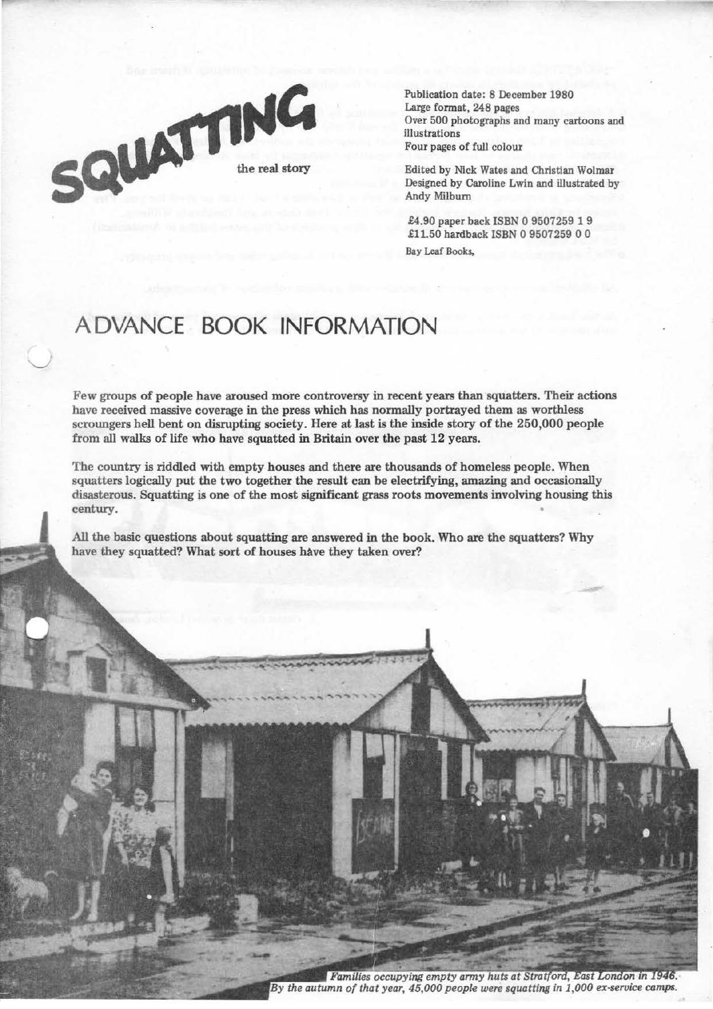

Publication date: 8 December 1980 Large format, 248 pages Over 500 photographs and many cartoons and illustrations Four pages of full colour

Edited by Nick Wates and Christian Wolmar Designed by Caroline Lwin and illustrated by Andy Milburn

£4.90 paper back ISBN 0 9507259 1 9 .£11.50 hardback ISBN 0 9507259 0 0 Bay Leaf Books,

## **ADVANCE BOOK INFORMATION**

Few groups of people have aroused more controversy in recent years than squatters. Their actions have received massive coverage in the press which has normally portrayed them as worthless scroungers hell bent on disrupting society. Here at last is the inside story of the 250,000 people from all walks of life who have squatted in Britain over the past 12 years.

The country is riddled with empty houses and there are thousands of homeless people. When squatters logically put the two together the result can be electrifying, amazing and occasionally disasterous. Squatting *is* one of the most significant grass roots movements involving housing this century.

All the basic questions about squatting are answered in the book. Who are the squatters? Why have they squatted? What sort of houses have they taken over?